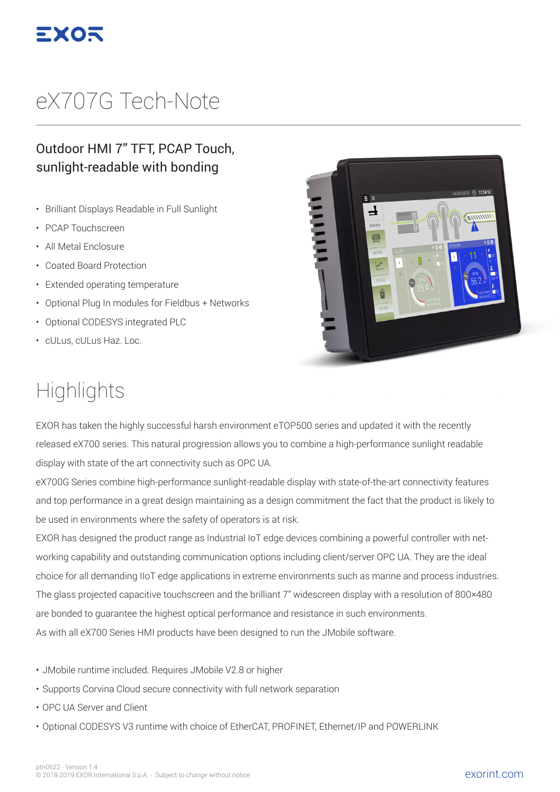

## eX707G Tech-Note

#### Outdoor HMI 7" TFT, PCAP Touch, sunlight-readable with bonding

- Brilliant Displays Readable in Full Sunlight
- PCAP Touchscreen
- All Metal Enclosure
- Coated Board Protection
- Extended operating temperature
- Optional Plug In modules for Fieldbus + Networks
- Optional CODESYS integrated PLC
- cULus, cULus Haz. Loc.

# 04/04/2018 <sup>11:24:12</sup>  $\equiv x$  $\mathbf{\mathbf{I}}$ **CITYLIUM**

### **Highlights**

EXOR has taken the highly successful harsh environment eTOP500 series and updated it with the recently released eX700 series. This natural progression allows you to combine a high-performance sunlight readable display with state of the art connectivity such as OPC UA.

eX700G Series combine high-performance sunlight-readable display with state-of-the-art connectivity features and top performance in a great design maintaining as a design commitment the fact that the product is likely to be used in environments where the safety of operators is at risk.

EXOR has designed the product range as Industrial IoT edge devices combining a powerful controller with networking capability and outstanding communication options including client/server OPC UA. They are the ideal choice for all demanding IIoT edge applications in extreme environments such as marine and process industries. The glass projected capacitive touchscreen and the brilliant 7" widescreen display with a resolution of 800×480 are bonded to guarantee the highest optical performance and resistance in such environments. As with all eX700 Series HMI products have been designed to run the JMobile software.

- JMobile runtime included. Requires JMobile V2.8 or higher
- Supports Corvina Cloud secure connectivity with full network separation
- OPC UA Server and Client
- Optional CODESYS V3 runtime with choice of EtherCAT, PROFINET, Ethernet/IP and POWERLINK